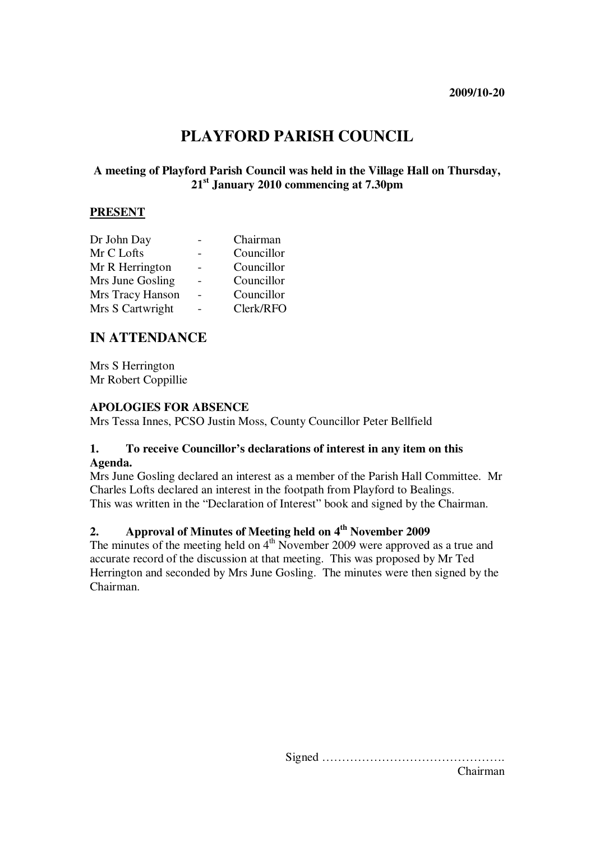# **PLAYFORD PARISH COUNCIL**

### **A meeting of Playford Parish Council was held in the Village Hall on Thursday, 21st January 2010 commencing at 7.30pm**

#### **PRESENT**

| Dr John Day      | Chairman   |
|------------------|------------|
| Mr C Lofts       | Councillor |
| Mr R Herrington  | Councillor |
| Mrs June Gosling | Councillor |
| Mrs Tracy Hanson | Councillor |
| Mrs S Cartwright | Clerk/RFO  |

# **IN ATTENDANCE**

Mrs S Herrington Mr Robert Coppillie

#### **APOLOGIES FOR ABSENCE**

Mrs Tessa Innes, PCSO Justin Moss, County Councillor Peter Bellfield

#### **1. To receive Councillor's declarations of interest in any item on this Agenda.**

Mrs June Gosling declared an interest as a member of the Parish Hall Committee. Mr Charles Lofts declared an interest in the footpath from Playford to Bealings. This was written in the "Declaration of Interest" book and signed by the Chairman.

# **2. Approval of Minutes of Meeting held on 4th November 2009**

The minutes of the meeting held on 4<sup>th</sup> November 2009 were approved as a true and accurate record of the discussion at that meeting. This was proposed by Mr Ted Herrington and seconded by Mrs June Gosling. The minutes were then signed by the Chairman.

> Signed ………………………………………. Chairman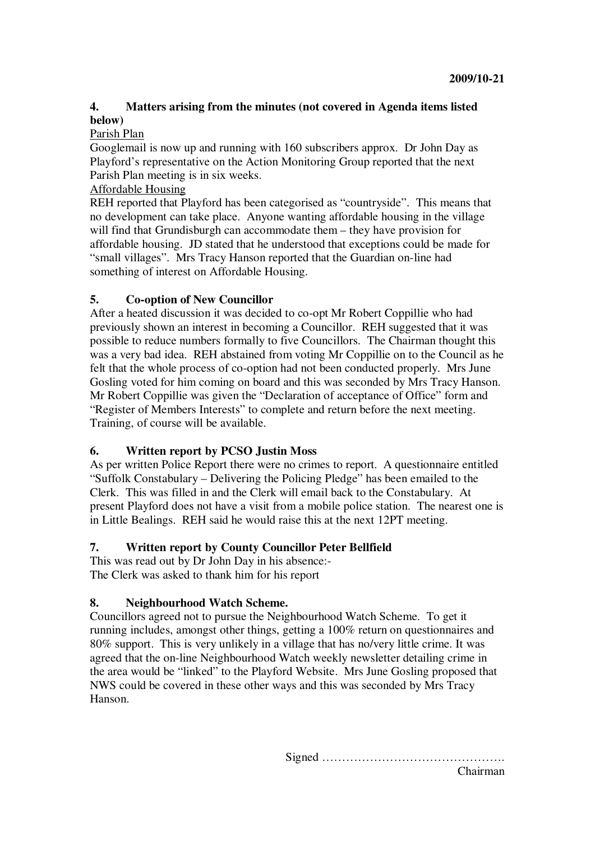# **4. Matters arising from the minutes (not covered in Agenda items listed below)**

### Parish Plan

Googlemail is now up and running with 160 subscribers approx. Dr John Day as Playford's representative on the Action Monitoring Group reported that the next Parish Plan meeting is in six weeks.

### Affordable Housing

REH reported that Playford has been categorised as "countryside". This means that no development can take place. Anyone wanting affordable housing in the village will find that Grundisburgh can accommodate them – they have provision for affordable housing. JD stated that he understood that exceptions could be made for "small villages". Mrs Tracy Hanson reported that the Guardian on-line had something of interest on Affordable Housing.

# **5. Co-option of New Councillor**

After a heated discussion it was decided to co-opt Mr Robert Coppillie who had previously shown an interest in becoming a Councillor. REH suggested that it was possible to reduce numbers formally to five Councillors. The Chairman thought this was a very bad idea. REH abstained from voting Mr Coppillie on to the Council as he felt that the whole process of co-option had not been conducted properly. Mrs June Gosling voted for him coming on board and this was seconded by Mrs Tracy Hanson. Mr Robert Coppillie was given the "Declaration of acceptance of Office" form and "Register of Members Interests" to complete and return before the next meeting. Training, of course will be available.

# **6. Written report by PCSO Justin Moss**

As per written Police Report there were no crimes to report. A questionnaire entitled "Suffolk Constabulary – Delivering the Policing Pledge" has been emailed to the Clerk. This was filled in and the Clerk will email back to the Constabulary. At present Playford does not have a visit from a mobile police station. The nearest one is in Little Bealings. REH said he would raise this at the next 12PT meeting.

# **7. Written report by County Councillor Peter Bellfield**

This was read out by Dr John Day in his absence:- The Clerk was asked to thank him for his report

# **8. Neighbourhood Watch Scheme.**

Councillors agreed not to pursue the Neighbourhood Watch Scheme. To get it running includes, amongst other things, getting a 100% return on questionnaires and 80% support. This is very unlikely in a village that has no/very little crime. It was agreed that the on-line Neighbourhood Watch weekly newsletter detailing crime in the area would be "linked" to the Playford Website. Mrs June Gosling proposed that NWS could be covered in these other ways and this was seconded by Mrs Tracy Hanson.

Signed ……………………………………….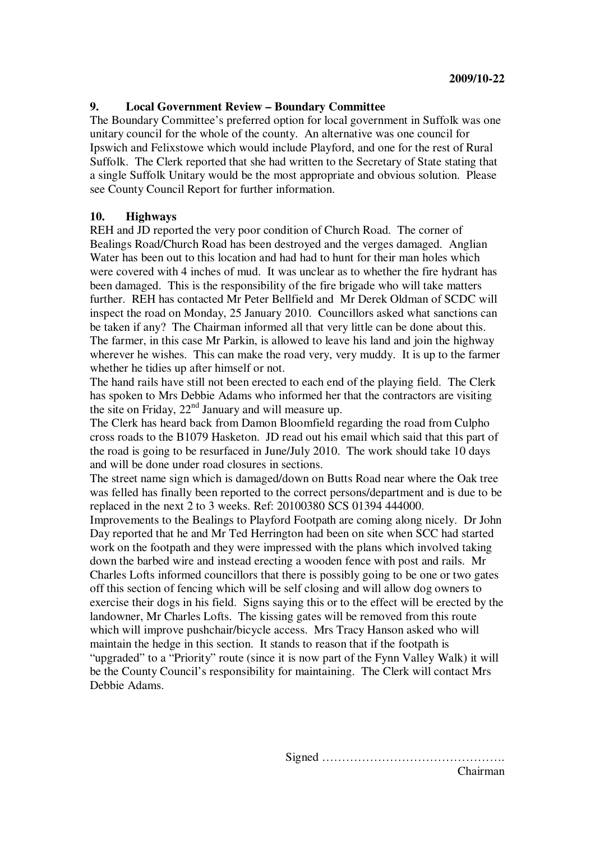### **9. Local Government Review – Boundary Committee**

The Boundary Committee's preferred option for local government in Suffolk was one unitary council for the whole of the county. An alternative was one council for Ipswich and Felixstowe which would include Playford, and one for the rest of Rural Suffolk. The Clerk reported that she had written to the Secretary of State stating that a single Suffolk Unitary would be the most appropriate and obvious solution. Please see County Council Report for further information.

#### **10. Highways**

REH and JD reported the very poor condition of Church Road. The corner of Bealings Road/Church Road has been destroyed and the verges damaged. Anglian Water has been out to this location and had had to hunt for their man holes which were covered with 4 inches of mud. It was unclear as to whether the fire hydrant has been damaged. This is the responsibility of the fire brigade who will take matters further. REH has contacted Mr Peter Bellfield and Mr Derek Oldman of SCDC will inspect the road on Monday, 25 January 2010. Councillors asked what sanctions can be taken if any? The Chairman informed all that very little can be done about this. The farmer, in this case Mr Parkin, is allowed to leave his land and join the highway wherever he wishes. This can make the road very, very muddy. It is up to the farmer whether he tidies up after himself or not.

The hand rails have still not been erected to each end of the playing field. The Clerk has spoken to Mrs Debbie Adams who informed her that the contractors are visiting the site on Friday, 22<sup>nd</sup> January and will measure up.

The Clerk has heard back from Damon Bloomfield regarding the road from Culpho cross roads to the B1079 Hasketon. JD read out his email which said that this part of the road is going to be resurfaced in June/July 2010. The work should take 10 days and will be done under road closures in sections.

The street name sign which is damaged/down on Butts Road near where the Oak tree was felled has finally been reported to the correct persons/department and is due to be replaced in the next 2 to 3 weeks. Ref: 20100380 SCS 01394 444000.

Improvements to the Bealings to Playford Footpath are coming along nicely. Dr John Day reported that he and Mr Ted Herrington had been on site when SCC had started work on the footpath and they were impressed with the plans which involved taking down the barbed wire and instead erecting a wooden fence with post and rails. Mr Charles Lofts informed councillors that there is possibly going to be one or two gates off this section of fencing which will be self closing and will allow dog owners to exercise their dogs in his field. Signs saying this or to the effect will be erected by the landowner, Mr Charles Lofts. The kissing gates will be removed from this route which will improve pushchair/bicycle access. Mrs Tracy Hanson asked who will maintain the hedge in this section. It stands to reason that if the footpath is "upgraded" to a "Priority" route (since it is now part of the Fynn Valley Walk) it will be the County Council's responsibility for maintaining. The Clerk will contact Mrs Debbie Adams.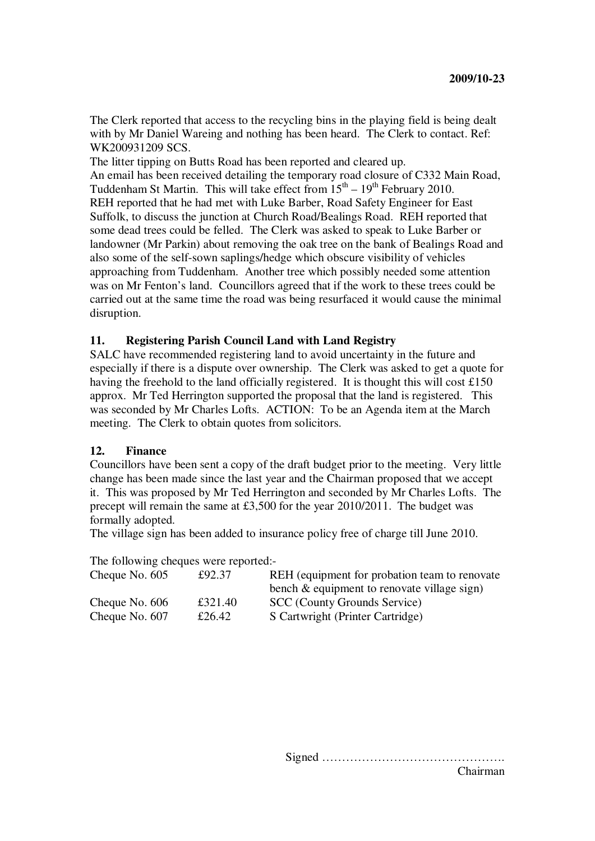The Clerk reported that access to the recycling bins in the playing field is being dealt with by Mr Daniel Wareing and nothing has been heard. The Clerk to contact. Ref: WK200931209 SCS.

The litter tipping on Butts Road has been reported and cleared up.

An email has been received detailing the temporary road closure of C332 Main Road, Tuddenham St Martin. This will take effect from  $15<sup>th</sup> - 19<sup>th</sup>$  February 2010. REH reported that he had met with Luke Barber, Road Safety Engineer for East Suffolk, to discuss the junction at Church Road/Bealings Road. REH reported that some dead trees could be felled. The Clerk was asked to speak to Luke Barber or landowner (Mr Parkin) about removing the oak tree on the bank of Bealings Road and also some of the self-sown saplings/hedge which obscure visibility of vehicles approaching from Tuddenham. Another tree which possibly needed some attention was on Mr Fenton's land. Councillors agreed that if the work to these trees could be carried out at the same time the road was being resurfaced it would cause the minimal disruption.

### **11. Registering Parish Council Land with Land Registry**

SALC have recommended registering land to avoid uncertainty in the future and especially if there is a dispute over ownership. The Clerk was asked to get a quote for having the freehold to the land officially registered. It is thought this will cost £150 approx. Mr Ted Herrington supported the proposal that the land is registered. This was seconded by Mr Charles Lofts. ACTION: To be an Agenda item at the March meeting. The Clerk to obtain quotes from solicitors.

#### **12. Finance**

Councillors have been sent a copy of the draft budget prior to the meeting. Very little change has been made since the last year and the Chairman proposed that we accept it. This was proposed by Mr Ted Herrington and seconded by Mr Charles Lofts. The precept will remain the same at £3,500 for the year 2010/2011. The budget was formally adopted.

The village sign has been added to insurance policy free of charge till June 2010.

The following cheques were reported:-

| Cheque No. $605$ | £92.37  | REH (equipment for probation team to renovate) |
|------------------|---------|------------------------------------------------|
|                  |         | bench $\&$ equipment to renovate village sign) |
| Cheque No. 606   | £321.40 | SCC (County Grounds Service)                   |
| Cheque No. 607   | £26.42  | S Cartwright (Printer Cartridge)               |

Signed ………………………………………. Chairman